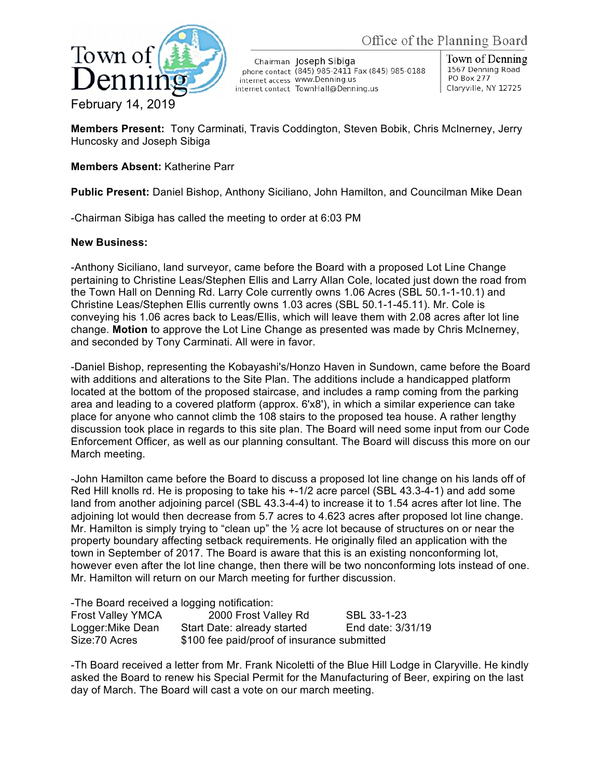

Chairman Joseph Sibiga phone contact (845) 985-2411 Fax (845) 985-0188 internet access WWW.Denning.us internet contact TownHall@Denning.us

Town of Denning 1567 Denning Road **PO Box 277** Claryville, NY 12725

**Members Present:** Tony Carminati, Travis Coddington, Steven Bobik, Chris McInerney, Jerry Huncosky and Joseph Sibiga

## **Members Absent:** Katherine Parr

**Public Present:** Daniel Bishop, Anthony Siciliano, John Hamilton, and Councilman Mike Dean

-Chairman Sibiga has called the meeting to order at 6:03 PM

## **New Business:**

-Anthony Siciliano, land surveyor, came before the Board with a proposed Lot Line Change pertaining to Christine Leas/Stephen Ellis and Larry Allan Cole, located just down the road from the Town Hall on Denning Rd. Larry Cole currently owns 1.06 Acres (SBL 50.1-1-10.1) and Christine Leas/Stephen Ellis currently owns 1.03 acres (SBL 50.1-1-45.11). Mr. Cole is conveying his 1.06 acres back to Leas/Ellis, which will leave them with 2.08 acres after lot line change. **Motion** to approve the Lot Line Change as presented was made by Chris McInerney, and seconded by Tony Carminati. All were in favor.

-Daniel Bishop, representing the Kobayashi's/Honzo Haven in Sundown, came before the Board with additions and alterations to the Site Plan. The additions include a handicapped platform located at the bottom of the proposed staircase, and includes a ramp coming from the parking area and leading to a covered platform (approx. 6'x8'), in which a similar experience can take place for anyone who cannot climb the 108 stairs to the proposed tea house. A rather lengthy discussion took place in regards to this site plan. The Board will need some input from our Code Enforcement Officer, as well as our planning consultant. The Board will discuss this more on our March meeting.

-John Hamilton came before the Board to discuss a proposed lot line change on his lands off of Red Hill knolls rd. He is proposing to take his +-1/2 acre parcel (SBL 43.3-4-1) and add some land from another adjoining parcel (SBL 43.3-4-4) to increase it to 1.54 acres after lot line. The adjoining lot would then decrease from 5.7 acres to 4.623 acres after proposed lot line change. Mr. Hamilton is simply trying to "clean up" the ½ acre lot because of structures on or near the property boundary affecting setback requirements. He originally filed an application with the town in September of 2017. The Board is aware that this is an existing nonconforming lot, however even after the lot line change, then there will be two nonconforming lots instead of one. Mr. Hamilton will return on our March meeting for further discussion.

-The Board received a logging notification:

| <b>Frost Valley YMCA</b> | 2000 Frost Valley Rd                        | SBL 33-1-23       |
|--------------------------|---------------------------------------------|-------------------|
| Logger: Mike Dean        | Start Date: already started                 | End date: 3/31/19 |
| Size: 70 Acres           | \$100 fee paid/proof of insurance submitted |                   |

-Th Board received a letter from Mr. Frank Nicoletti of the Blue Hill Lodge in Claryville. He kindly asked the Board to renew his Special Permit for the Manufacturing of Beer, expiring on the last day of March. The Board will cast a vote on our march meeting.